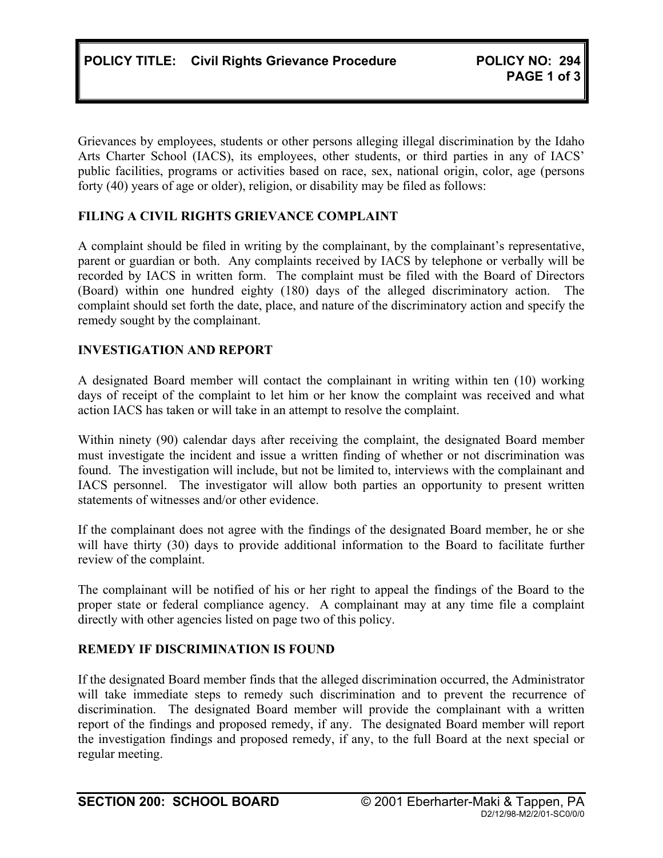Grievances by employees, students or other persons alleging illegal discrimination by the Idaho Arts Charter School (IACS), its employees, other students, or third parties in any of IACS' public facilities, programs or activities based on race, sex, national origin, color, age (persons forty (40) years of age or older), religion, or disability may be filed as follows:

# **FILING A CIVIL RIGHTS GRIEVANCE COMPLAINT**

A complaint should be filed in writing by the complainant, by the complainant's representative, parent or guardian or both. Any complaints received by IACS by telephone or verbally will be recorded by IACS in written form. The complaint must be filed with the Board of Directors (Board) within one hundred eighty (180) days of the alleged discriminatory action. The complaint should set forth the date, place, and nature of the discriminatory action and specify the remedy sought by the complainant.

# **INVESTIGATION AND REPORT**

A designated Board member will contact the complainant in writing within ten (10) working days of receipt of the complaint to let him or her know the complaint was received and what action IACS has taken or will take in an attempt to resolve the complaint.

Within ninety (90) calendar days after receiving the complaint, the designated Board member must investigate the incident and issue a written finding of whether or not discrimination was found. The investigation will include, but not be limited to, interviews with the complainant and IACS personnel. The investigator will allow both parties an opportunity to present written statements of witnesses and/or other evidence.

If the complainant does not agree with the findings of the designated Board member, he or she will have thirty (30) days to provide additional information to the Board to facilitate further review of the complaint.

The complainant will be notified of his or her right to appeal the findings of the Board to the proper state or federal compliance agency. A complainant may at any time file a complaint directly with other agencies listed on page two of this policy.

# **REMEDY IF DISCRIMINATION IS FOUND**

If the designated Board member finds that the alleged discrimination occurred, the Administrator will take immediate steps to remedy such discrimination and to prevent the recurrence of discrimination. The designated Board member will provide the complainant with a written report of the findings and proposed remedy, if any. The designated Board member will report the investigation findings and proposed remedy, if any, to the full Board at the next special or regular meeting.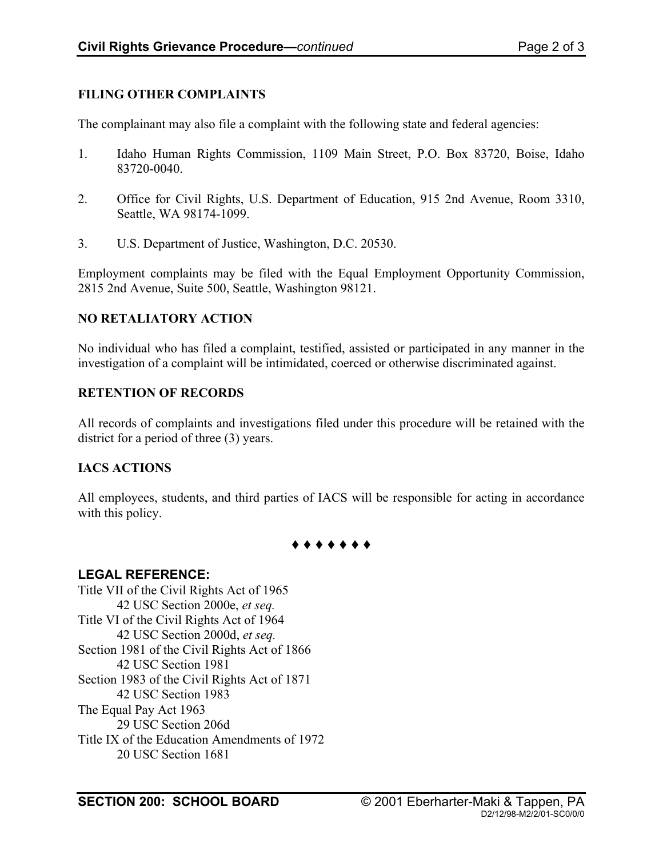# **FILING OTHER COMPLAINTS**

The complainant may also file a complaint with the following state and federal agencies:

- 1. Idaho Human Rights Commission, 1109 Main Street, P.O. Box 83720, Boise, Idaho 83720-0040.
- 2. Office for Civil Rights, U.S. Department of Education, 915 2nd Avenue, Room 3310, Seattle, WA 98174-1099.
- 3. U.S. Department of Justice, Washington, D.C. 20530.

Employment complaints may be filed with the Equal Employment Opportunity Commission, 2815 2nd Avenue, Suite 500, Seattle, Washington 98121.

#### **NO RETALIATORY ACTION**

No individual who has filed a complaint, testified, assisted or participated in any manner in the investigation of a complaint will be intimidated, coerced or otherwise discriminated against.

# **RETENTION OF RECORDS**

All records of complaints and investigations filed under this procedure will be retained with the district for a period of three (3) years.

# **IACS ACTIONS**

All employees, students, and third parties of IACS will be responsible for acting in accordance with this policy.

**♦ ♦ ♦ ♦ ♦ ♦ ♦**

# **LEGAL REFERENCE:**

Title VII of the Civil Rights Act of 1965 42 USC Section 2000e, *et seq.* Title VI of the Civil Rights Act of 1964 42 USC Section 2000d, *et seq.* Section 1981 of the Civil Rights Act of 1866 42 USC Section 1981 Section 1983 of the Civil Rights Act of 1871 42 USC Section 1983 The Equal Pay Act 1963 29 USC Section 206d Title IX of the Education Amendments of 1972 20 USC Section 1681